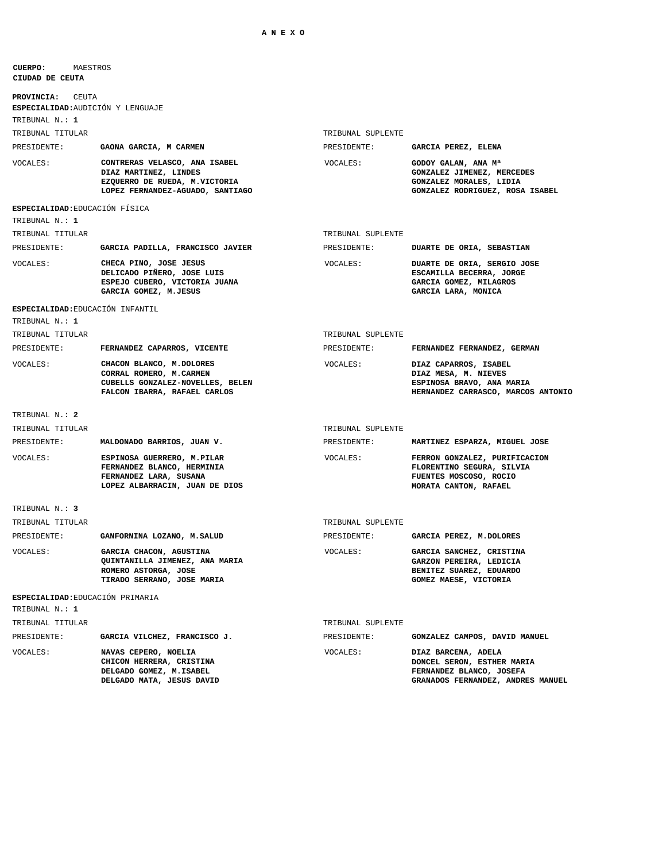## **CIUDAD DE CEUTA CUERPO:** MAESTROS

| <b>PROVINCIA:</b><br><b>CEUTA</b>                  |                                                                                                                             |                   |                                                                                                                    |
|----------------------------------------------------|-----------------------------------------------------------------------------------------------------------------------------|-------------------|--------------------------------------------------------------------------------------------------------------------|
| ESPECIALIDAD: AUDICIÓN Y LENGUAJE                  |                                                                                                                             |                   |                                                                                                                    |
| TRIBUNAL N.: 1                                     |                                                                                                                             |                   |                                                                                                                    |
| TRIBUNAL TITULAR                                   |                                                                                                                             | TRIBUNAL SUPLENTE |                                                                                                                    |
| PRESIDENTE:                                        | GAONA GARCIA, M CARMEN                                                                                                      | PRESIDENTE:       | GARCIA PEREZ, ELENA                                                                                                |
| VOCALES:                                           | CONTRERAS VELASCO, ANA ISABEL<br>DIAZ MARTINEZ, LINDES<br>EZQUERRO DE RUEDA, M.VICTORIA<br>LOPEZ FERNANDEZ-AGUADO, SANTIAGO | VOCALES:          | GODOY GALAN, ANA Ma<br>GONZALEZ JIMENEZ, MERCEDES<br>GONZALEZ MORALES, LIDIA<br>GONZALEZ RODRIGUEZ, ROSA ISABEL    |
| ESPECIALIDAD: EDUCACIÓN FÍSICA                     |                                                                                                                             |                   |                                                                                                                    |
| TRIBUNAL N.: 1                                     |                                                                                                                             |                   |                                                                                                                    |
| TRIBUNAL TITULAR                                   |                                                                                                                             | TRIBUNAL SUPLENTE |                                                                                                                    |
| PRESIDENTE:                                        | GARCIA PADILLA, FRANCISCO JAVIER                                                                                            | PRESIDENTE:       | DUARTE DE ORIA, SEBASTIAN                                                                                          |
| VOCALES:                                           | CHECA PINO, JOSE JESUS<br>DELICADO PIÑERO, JOSE LUIS<br>ESPEJO CUBERO, VICTORIA JUANA<br>GARCIA GOMEZ, M.JESUS              | VOCALES:          | DUARTE DE ORIA, SERGIO JOSE<br>ESCAMILLA BECERRA, JORGE<br>GARCIA GOMEZ, MILAGROS<br>GARCIA LARA, MONICA           |
| ESPECIALIDAD: EDUCACIÓN INFANTIL<br>TRIBUNAL N.: 1 |                                                                                                                             |                   |                                                                                                                    |
| TRIBUNAL TITULAR                                   |                                                                                                                             | TRIBUNAL SUPLENTE |                                                                                                                    |
| PRESIDENTE:                                        | FERNANDEZ CAPARROS, VICENTE                                                                                                 | PRESIDENTE:       | FERNANDEZ FERNANDEZ, GERMAN                                                                                        |
| VOCALES:                                           | CHACON BLANCO, M.DOLORES<br>CORRAL ROMERO, M.CARMEN<br>CUBELLS GONZALEZ-NOVELLES, BELEN<br>FALCON IBARRA, RAFAEL CARLOS     | VOCALES:          | DIAZ CAPARROS, ISABEL<br>DIAZ MESA, M. NIEVES<br>ESPINOSA BRAVO, ANA MARIA<br>HERNANDEZ CARRASCO, MARCOS ANTONIO   |
| TRIBUNAL N.: 2                                     |                                                                                                                             |                   |                                                                                                                    |
| TRIBUNAL TITULAR                                   |                                                                                                                             | TRIBUNAL SUPLENTE |                                                                                                                    |
| PRESIDENTE:                                        | MALDONADO BARRIOS, JUAN V.                                                                                                  | PRESIDENTE:       | MARTINEZ ESPARZA, MIGUEL JOSE                                                                                      |
| VOCALES:                                           | ESPINOSA GUERRERO, M.PILAR<br>FERNANDEZ BLANCO, HERMINIA<br>FERNANDEZ LARA, SUSANA<br>LOPEZ ALBARRACIN, JUAN DE DIOS        | VOCALES:          | FERRON GONZALEZ, PURIFICACION<br>FLORENTINO SEGURA, SILVIA<br>FUENTES MOSCOSO, ROCIO<br>MORATA CANTON, RAFAEL      |
| TRIBUNAL N.: 3                                     |                                                                                                                             |                   |                                                                                                                    |
| TRIBUNAL TITULAR                                   |                                                                                                                             | TRIBUNAL SUPLENTE |                                                                                                                    |
| PRESIDENTE:                                        | GANFORNINA LOZANO, M.SALUD                                                                                                  | PRESIDENTE:       | GARCIA PEREZ, M.DOLORES                                                                                            |
| VOCALES:                                           | GARCIA CHACON, AGUSTINA<br>QUINTANILLA JIMENEZ, ANA MARIA<br>ROMERO ASTORGA, JOSE<br>TIRADO SERRANO, JOSE MARIA             | VOCALES:          | GARCIA SANCHEZ, CRISTINA<br>GARZON PEREIRA, LEDICIA<br>BENITEZ SUAREZ, EDUARDO<br>GOMEZ MAESE, VICTORIA            |
| ESPECIALIDAD: EDUCACIÓN PRIMARIA                   |                                                                                                                             |                   |                                                                                                                    |
| TRIBUNAL N.: 1                                     |                                                                                                                             |                   |                                                                                                                    |
| TRIBUNAL TITULAR                                   |                                                                                                                             | TRIBUNAL SUPLENTE |                                                                                                                    |
| PRESIDENTE:                                        | GARCIA VILCHEZ, FRANCISCO J.                                                                                                | PRESIDENTE:       | GONZALEZ CAMPOS, DAVID MANUEL                                                                                      |
| VOCALES:                                           | NAVAS CEPERO, NOELIA<br>CHICON HERRERA, CRISTINA<br>DELGADO GOMEZ, M.ISABEL<br>DELGADO MATA, JESUS DAVID                    | VOCALES:          | DIAZ BARCENA, ADELA<br>DONCEL SERON, ESTHER MARIA<br>FERNANDEZ BLANCO, JOSEFA<br>GRANADOS FERNANDEZ, ANDRES MANUEL |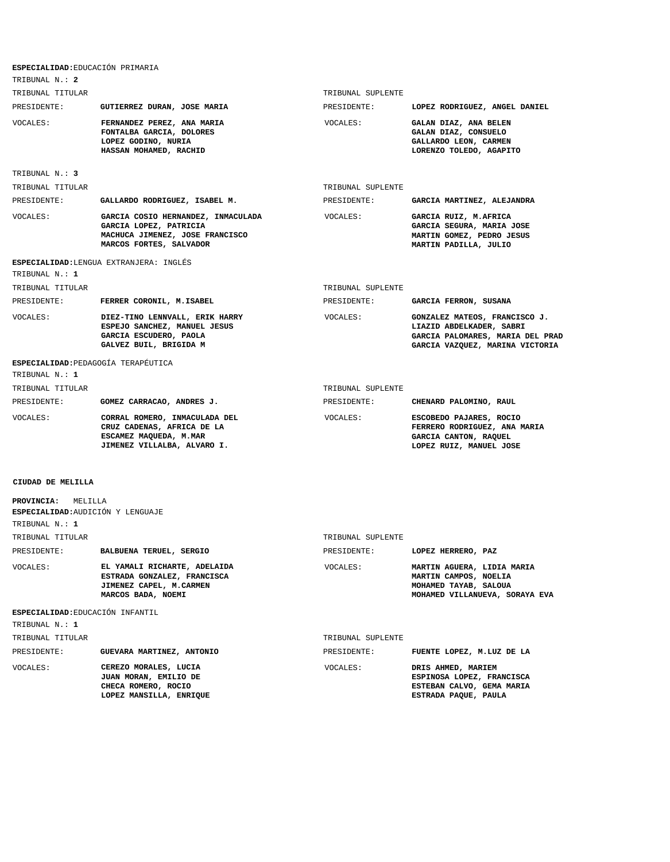| ESPECIALIDAD: EDUCACIÓN PRIMARIA                                          |                                                                                                                            |                   |                                                                                                                                  |
|---------------------------------------------------------------------------|----------------------------------------------------------------------------------------------------------------------------|-------------------|----------------------------------------------------------------------------------------------------------------------------------|
| TRIBUNAL N.: 2                                                            |                                                                                                                            |                   |                                                                                                                                  |
| TRIBUNAL TITULAR                                                          |                                                                                                                            | TRIBUNAL SUPLENTE |                                                                                                                                  |
| PRESIDENTE:                                                               | GUTIERREZ DURAN, JOSE MARIA                                                                                                | PRESIDENTE:       | LOPEZ RODRIGUEZ, ANGEL DANIEL                                                                                                    |
| VOCALES:                                                                  | FERNANDEZ PEREZ, ANA MARIA<br>FONTALBA GARCIA, DOLORES<br>LOPEZ GODINO, NURIA<br>HASSAN MOHAMED, RACHID                    | VOCALES:          | GALAN DIAZ, ANA BELEN<br>GALAN DIAZ, CONSUELO<br>GALLARDO LEON, CARMEN<br>LORENZO TOLEDO, AGAPITO                                |
| TRIBUNAL N.: 3                                                            |                                                                                                                            |                   |                                                                                                                                  |
| TRIBUNAL TITULAR                                                          |                                                                                                                            | TRIBUNAL SUPLENTE |                                                                                                                                  |
| PRESIDENTE:                                                               | GALLARDO RODRIGUEZ, ISABEL M.                                                                                              | PRESIDENTE:       | GARCIA MARTINEZ, ALEJANDRA                                                                                                       |
| VOCALES:                                                                  | GARCIA COSIO HERNANDEZ, INMACULADA<br>GARCIA LOPEZ, PATRICIA<br>MACHUCA JIMENEZ, JOSE FRANCISCO<br>MARCOS FORTES, SALVADOR | VOCALES:          | GARCIA RUIZ, M.AFRICA<br>GARCIA SEGURA, MARIA JOSE<br>MARTIN GOMEZ, PEDRO JESUS<br>MARTIN PADILLA, JULIO                         |
|                                                                           | ESPECIALIDAD: LENGUA EXTRANJERA: INGLÉS                                                                                    |                   |                                                                                                                                  |
| TRIBUNAL N.: 1                                                            |                                                                                                                            |                   |                                                                                                                                  |
| TRIBUNAL TITULAR                                                          |                                                                                                                            | TRIBUNAL SUPLENTE |                                                                                                                                  |
| PRESIDENTE:                                                               | FERRER CORONIL, M.ISABEL                                                                                                   | PRESIDENTE:       | GARCIA FERRON, SUSANA                                                                                                            |
| <b>VOCALES:</b>                                                           | DIEZ-TINO LENNVALL, ERIK HARRY<br>ESPEJO SANCHEZ, MANUEL JESUS<br>GARCIA ESCUDERO, PAOLA<br>GALVEZ BUIL, BRIGIDA M         | VOCALES:          | GONZALEZ MATEOS, FRANCISCO J.<br>LIAZID ABDELKADER, SABRI<br>GARCIA PALOMARES, MARIA DEL PRAD<br>GARCIA VAZQUEZ, MARINA VICTORIA |
| ESPECIALIDAD: PEDAGOGÍA TERAPÉUTICA<br>TRIBUNAL N. : 1                    |                                                                                                                            |                   |                                                                                                                                  |
| TRIBUNAL TITULAR                                                          |                                                                                                                            | TRIBUNAL SUPLENTE |                                                                                                                                  |
| PRESIDENTE:                                                               | GOMEZ CARRACAO, ANDRES J.                                                                                                  | PRESIDENTE:       | CHENARD PALOMINO, RAUL                                                                                                           |
| VOCALES:                                                                  | CORRAL ROMERO, INMACULADA DEL<br>CRUZ CADENAS, AFRICA DE LA<br>ESCAMEZ MAQUEDA, M.MAR<br>JIMENEZ VILLALBA, ALVARO I.       | VOCALES:          | ESCOBEDO PAJARES, ROCIO<br>FERRERO RODRIGUEZ, ANA MARIA<br>GARCIA CANTON, RAQUEL<br>LOPEZ RUIZ, MANUEL JOSE                      |
| CIUDAD DE MELILLA                                                         |                                                                                                                            |                   |                                                                                                                                  |
| PROVINCIA: MELILLA<br>ESPECIALIDAD: AUDICIÓN Y LENGUAJE<br>TRIBUNAL N.: 1 |                                                                                                                            |                   |                                                                                                                                  |
| TRIBUNAL TITULAR                                                          |                                                                                                                            | TRIBUNAL SUPLENTE |                                                                                                                                  |
| PRESIDENTE:                                                               | BALBUENA TERUEL, SERGIO                                                                                                    | PRESIDENTE:       | LOPEZ HERRERO, PAZ                                                                                                               |
| VOCALES:                                                                  | EL YAMALI RICHARTE, ADELAIDA<br>ESTRADA GONZALEZ, FRANCISCA<br>JIMENEZ CAPEL, M.CARMEN<br>MARCOS BADA, NOEMI               | VOCALES:          | MARTIN AGUERA, LIDIA MARIA<br>MARTIN CAMPOS, NOELIA<br>MOHAMED TAYAB, SALOUA<br>MOHAMED VILLANUEVA, SORAYA EVA                   |
| ESPECIALIDAD: EDUCACIÓN INFANTIL                                          |                                                                                                                            |                   |                                                                                                                                  |
| TRIBUNAL N.: 1                                                            |                                                                                                                            |                   |                                                                                                                                  |
| TRIBUNAL TITULAR                                                          |                                                                                                                            | TRIBUNAL SUPLENTE |                                                                                                                                  |
| PRESIDENTE:                                                               | GUEVARA MARTINEZ, ANTONIO                                                                                                  | PRESIDENTE:       | FUENTE LOPEZ, M.LUZ DE LA                                                                                                        |
| VOCALES:                                                                  | CEREZO MORALES, LUCIA<br>JUAN MORAN, EMILIO DE<br>CHECA ROMERO, ROCIO<br>LOPEZ MANSILLA, ENRIQUE                           | VOCALES:          | DRIS AHMED, MARIEM<br>ESPINOSA LOPEZ, FRANCISCA<br>ESTEBAN CALVO, GEMA MARIA<br>ESTRADA PAQUE, PAULA                             |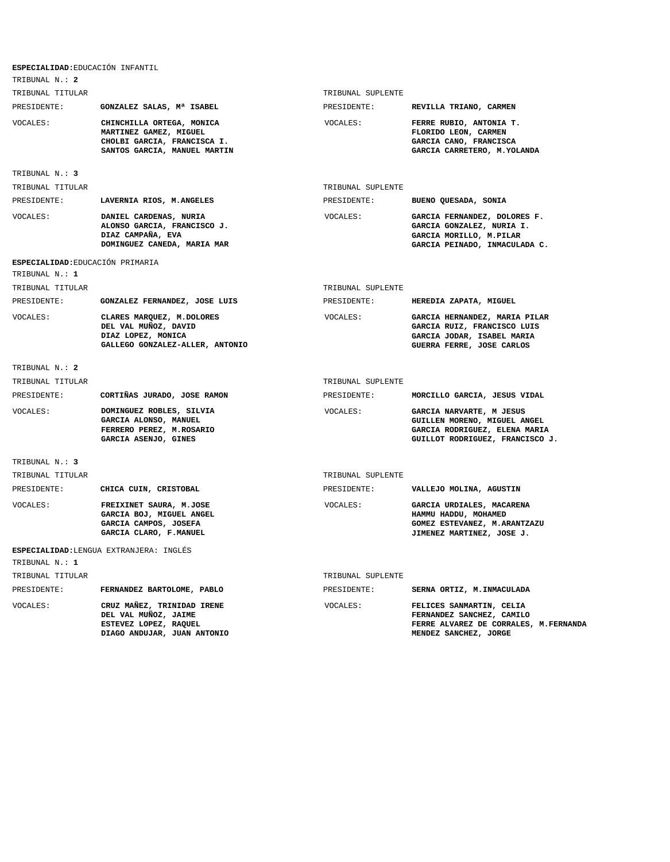| ESPECIALIDAD: EDUCACIÓN INFANTIL<br>TRIBUNAL N.: 2 |                                                                                                                    |                   |                                                                                                                              |
|----------------------------------------------------|--------------------------------------------------------------------------------------------------------------------|-------------------|------------------------------------------------------------------------------------------------------------------------------|
| TRIBUNAL TITULAR                                   |                                                                                                                    | TRIBUNAL SUPLENTE |                                                                                                                              |
| PRESIDENTE:                                        | GONZALEZ SALAS, Mª ISABEL                                                                                          | PRESIDENTE:       | REVILLA TRIANO, CARMEN                                                                                                       |
| VOCALES:                                           | CHINCHILLA ORTEGA, MONICA<br>MARTINEZ GAMEZ, MIGUEL<br>CHOLBI GARCIA, FRANCISCA I.<br>SANTOS GARCIA, MANUEL MARTIN | VOCALES:          | FERRE RUBIO, ANTONIA T.<br>FLORIDO LEON, CARMEN<br>GARCIA CANO, FRANCISCA<br>GARCIA CARRETERO, M.YOLANDA                     |
| TRIBUNAL N.: 3                                     |                                                                                                                    |                   |                                                                                                                              |
| TRIBUNAL TITULAR                                   |                                                                                                                    | TRIBUNAL SUPLENTE |                                                                                                                              |
| PRESIDENTE:                                        | LAVERNIA RIOS, M.ANGELES                                                                                           | PRESIDENTE:       | BUENO QUESADA, SONIA                                                                                                         |
| VOCALES:                                           | DANIEL CARDENAS, NURIA<br>ALONSO GARCIA, FRANCISCO J.<br>DIAZ CAMPAÑA, EVA<br>DOMINGUEZ CANEDA, MARIA MAR          | VOCALES:          | GARCIA FERNANDEZ, DOLORES F.<br>GARCIA GONZALEZ, NURIA I.<br>GARCIA MORILLO, M.PILAR<br>GARCIA PEINADO, INMACULADA C.        |
| ESPECIALIDAD: EDUCACIÓN PRIMARIA                   |                                                                                                                    |                   |                                                                                                                              |
| TRIBUNAL N.: 1                                     |                                                                                                                    |                   |                                                                                                                              |
| TRIBUNAL TITULAR                                   |                                                                                                                    | TRIBUNAL SUPLENTE |                                                                                                                              |
| PRESIDENTE:                                        | GONZALEZ FERNANDEZ, JOSE LUIS                                                                                      | PRESIDENTE:       | HEREDIA ZAPATA, MIGUEL                                                                                                       |
| VOCALES:                                           | CLARES MARQUEZ, M.DOLORES<br>DEL VAL MUÑOZ, DAVID<br>DIAZ LOPEZ, MONICA<br>GALLEGO GONZALEZ-ALLER, ANTONIO         | VOCALES:          | GARCIA HERNANDEZ, MARIA PILAR<br>GARCIA RUIZ, FRANCISCO LUIS<br>GARCIA JODAR, ISABEL MARIA<br>GUERRA FERRE, JOSE CARLOS      |
| TRIBUNAL N.: 2                                     |                                                                                                                    |                   |                                                                                                                              |
| TRIBUNAL TITULAR                                   |                                                                                                                    | TRIBUNAL SUPLENTE |                                                                                                                              |
| PRESIDENTE:                                        | CORTIÑAS JURADO, JOSE RAMON                                                                                        | PRESIDENTE:       | MORCILLO GARCIA, JESUS VIDAL                                                                                                 |
| VOCALES:                                           | DOMINGUEZ ROBLES, SILVIA<br>GARCIA ALONSO, MANUEL<br>FERRERO PEREZ, M.ROSARIO<br>GARCIA ASENJO, GINES              | <b>VOCALES:</b>   | GARCIA NARVARTE, M JESUS<br>GUILLEN MORENO, MIGUEL ANGEL<br>GARCIA RODRIGUEZ, ELENA MARIA<br>GUILLOT RODRIGUEZ, FRANCISCO J. |
| TRIBUNAL N.: 3                                     |                                                                                                                    |                   |                                                                                                                              |
| TRIBUNAL TITULAR                                   |                                                                                                                    | TRIBUNAL SUPLENTE |                                                                                                                              |
| PRESIDENTE:                                        | CHICA CUIN, CRISTOBAL                                                                                              | PRESIDENTE:       | VALLEJO MOLINA, AGUSTIN                                                                                                      |
| VOCALES:                                           | FREIXINET SAURA, M.JOSE<br>GARCIA BOJ, MIGUEL ANGEL<br>GARCIA CAMPOS, JOSEFA<br>GARCIA CLARO, F.MANUEL             | VOCALES:          | GARCIA URDIALES, MACARENA<br>HAMMU HADDU, MOHAMED<br>GOMEZ ESTEVANEZ, M.ARANTZAZU<br>JIMENEZ MARTINEZ, JOSE J.               |
| TRIBUNAL N.: 1                                     | ESPECIALIDAD: LENGUA EXTRANJERA: INGLÉS                                                                            |                   |                                                                                                                              |
| TRIBUNAL TITULAR                                   |                                                                                                                    | TRIBUNAL SUPLENTE |                                                                                                                              |
| PRESIDENTE:                                        | FERNANDEZ BARTOLOME, PABLO                                                                                         | PRESIDENTE:       | SERNA ORTIZ, M. INMACULADA                                                                                                   |
| VOCALES:                                           | CRUZ MAÑEZ, TRINIDAD IRENE<br>DEL VAL MUÑOZ, JAIME<br>ESTEVEZ LOPEZ, RAQUEL<br>DIAGO ANDUJAR, JUAN ANTONIO         | VOCALES:          | FELICES SANMARTIN, CELIA<br>FERNANDEZ SANCHEZ, CAMILO<br>FERRE ALVAREZ DE CORRALES, M. FERNANDA<br>MENDEZ SANCHEZ, JORGE     |